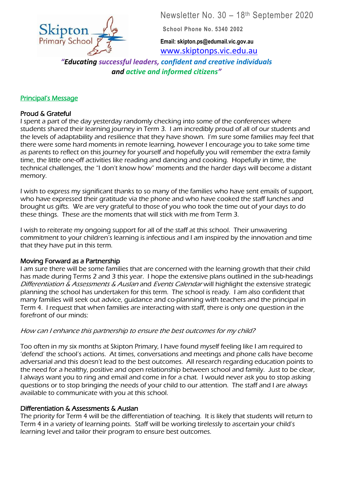Newsletter No. 30 – 18 th September 2020



**School Phone No. 5340 2002**

**Email: skipton.ps@edumail.vic.gov.au** [www.skiptonps.vic.edu.au](http://www.skiptonps.vic.edu.au/)

*"Educating successful leaders, confident and creative individuals and active and informed citizens"* 7

### Principal's Message

# Proud & Grateful

I spent a part of the day yesterday randomly checking into some of the conferences where students shared their learning journey in Term 3. I am incredibly proud of all of our students and the levels of adaptability and resilience that they have shown. I'm sure some families may feel that there were some hard moments in remote learning, however I encourage you to take some time as parents to reflect on this journey for yourself and hopefully you will remember the extra family time, the little one-off activities like reading and dancing and cooking. Hopefully in time, the technical challenges, the "I don't know how" moments and the harder days will become a distant memory.

I wish to express my significant thanks to so many of the families who have sent emails of support, who have expressed their gratitude via the phone and who have cooked the staff lunches and brought us gifts. We are very grateful to those of you who took the time out of your days to do these things. These are the moments that will stick with me from Term 3.

I wish to reiterate my ongoing support for all of the staff at this school. Their unwavering commitment to your children's learning is infectious and I am inspired by the innovation and time that they have put in this term.

#### Moving Forward as a Partnership

I am sure there will be some families that are concerned with the learning growth that their child has made during Terms 2 and 3 this year. I hope the extensive plans outlined in the sub-headings Differentiation & Assessments & Auslan and Events Calendar will highlight the extensive strategic planning the school has undertaken for this term. The school is ready. I am also confident that many families will seek out advice, guidance and co-planning with teachers and the principal in Term 4. I request that when families are interacting with staff, there is only one question in the forefront of our minds:

#### How can I enhance this partnership to ensure the best outcomes for my child?

Too often in my six months at Skipton Primary, I have found myself feeling like I am required to 'defend' the school's actions. At times, conversations and meetings and phone calls have become adversarial and this doesn't lead to the best outcomes. All research regarding education points to the need for a healthy, positive and open relationship between school and family. Just to be clear, I always want you to ring and email and come in for a chat. I would never ask you to stop asking questions or to stop bringing the needs of your child to our attention. The staff and I are always available to communicate with you at this school.

#### Differentiation & Assessments & Auslan

The priority for Term 4 will be the differentiation of teaching. It is likely that students will return to Term 4 in a variety of learning points. Staff will be working tirelessly to ascertain your child's learning level and tailor their program to ensure best outcomes.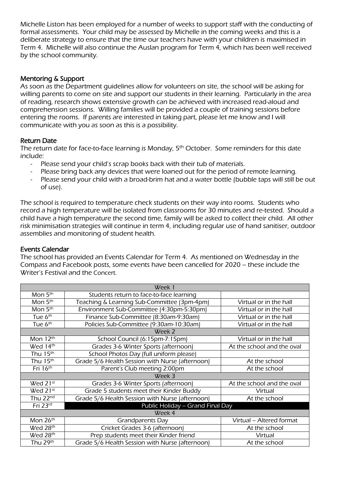Michelle Liston has been employed for a number of weeks to support staff with the conducting of formal assessments. Your child may be assessed by Michelle in the coming weeks and this is a deliberate strategy to ensure that the time our teachers have with your children is maximised in Term 4. Michelle will also continue the Auslan program for Term 4, which has been well received by the school community.

## Mentoring & Support

As soon as the Department guidelines allow for volunteers on site, the school will be asking for willing parents to come on site and support our students in their learning. Particularly in the area of reading, research shows extensive growth can be achieved with increased read-aloud and comprehension sessions. Willing families will be provided a couple of training sessions before entering the rooms. If parents are interested in taking part, please let me know and I will communicate with you as soon as this is a possibility.

## Return Date

The return date for face-to-face learning is Monday, 5<sup>th</sup> October. Some reminders for this date include:

- Please send your child's scrap books back with their tub of materials.
- Please bring back any devices that were loaned out for the period of remote learning.
- Please send your child with a broad-brim hat and a water bottle (bubble taps will still be out of use).

The school is required to temperature check students on their way into rooms. Students who record a high temperature will be isolated from classrooms for 30 minutes and re-tested. Should a child have a high temperature the second time, family will be asked to collect their child. All other risk minimisation strategies will continue in term 4, including regular use of hand sanitiser, outdoor assemblies and monitoring of student health.

#### Events Calendar

The school has provided an Events Calendar for Term 4. As mentioned on Wednesday in the Compass and Facebook posts, some events have been cancelled for 2020 – these include the Writer's Festival and the Concert.

| Week 1                   |                                                 |                            |  |
|--------------------------|-------------------------------------------------|----------------------------|--|
| Mon 5 <sup>th</sup>      | Students return to face-to-face learning        |                            |  |
| Mon 5 <sup>th</sup>      | Teaching & Learning Sub-Committee (3pm-4pm)     | Virtual or in the hall     |  |
| Mon 5 <sup>th</sup>      | Environment Sub-Committee (4:30pm-5:30pm)       | Virtual or in the hall     |  |
| Tue 6 <sup>th</sup>      | Finance Sub-Committee (8:30am-9:30am)           | Virtual or in the hall     |  |
| Tue 6 <sup>th</sup>      | Policies Sub-Committee (9:30am-10:30am)         | Virtual or in the hall     |  |
| Week 2                   |                                                 |                            |  |
| Mon $12^{\overline{th}}$ | School Council (6:15pm-7:15pm)                  | Virtual or in the hall     |  |
| Wed 14th                 | Grades 3-6 Winter Sports (afternoon)            | At the school and the oval |  |
| Thu 15th                 | School Photos Day (full uniform please)         |                            |  |
| Thu 15th                 | Grade 5/6 Health Session with Nurse (afternoon) | At the school              |  |
| Fri 16th                 | Parent's Club meeting 2:00pm                    | At the school              |  |
| Week 3                   |                                                 |                            |  |
| Wed 21st                 | Grades 3-6 Winter Sports (afternoon)            | At the school and the oval |  |
| Wed 21st                 | Grade 5 students meet their Kinder Buddy        | Virtual                    |  |
| Thu $22nd$               | Grade 5/6 Health Session with Nurse (afternoon) | At the school              |  |
| Fri 23rd                 | Public Holiday - Grand Final Day                |                            |  |
| Week 4                   |                                                 |                            |  |
| Mon 26 <sup>th</sup>     | <b>Grandparents Day</b>                         | Virtual – Altered format   |  |
| Wed 28th                 | Cricket Grades 3-6 (afternoon)                  | At the school              |  |
| Wed 28th                 | Prep students meet their Kinder friend          | Virtual                    |  |
| Thu 29th                 | Grade 5/6 Health Session with Nurse (afternoon) | At the school              |  |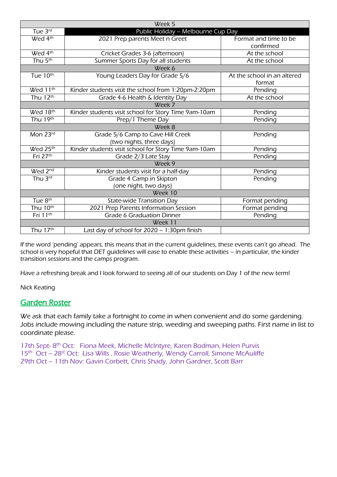| Week 5               |                                                      |                             |  |
|----------------------|------------------------------------------------------|-----------------------------|--|
| Tue 3rd              | Public Holiday - Melbourne Cup Day                   |                             |  |
| Wed 4 <sup>th</sup>  | 2021 Prep parents Meet n Greet                       | Format and time to be       |  |
|                      |                                                      | confirmed                   |  |
| Wed 4 <sup>th</sup>  | Cricket Grades 3-6 (afternoon)                       | At the school               |  |
| Thu $5th$            | Summer Sports Day for all students                   | At the school               |  |
| Week 6               |                                                      |                             |  |
| Tue 10th             | Young Leaders Day for Grade 5/6                      | At the school in an altered |  |
|                      |                                                      | format                      |  |
| Wed 11 <sup>th</sup> | Kinder students visit the school from 1:20pm-2:20pm  | Pending                     |  |
| Thu 12th             | Grade 4-6 Health & Identity Day                      | At the school               |  |
| Week 7               |                                                      |                             |  |
| Wed 18th             | Kinder students visit school for Story Time 9am-10am | Pending                     |  |
| Thu 19th             | Prep/1 Theme Day                                     | Pending                     |  |
| Week 8               |                                                      |                             |  |
| Mon 23rd             | Grade 5/6 Camp to Cave Hill Creek                    | Pending                     |  |
|                      | (two nights, three days)                             |                             |  |
| Wed 25th             | Kinder students visit school for Story Time 9am-10am | Pending                     |  |
| Fri 27th             | Grade 2/3 Late Stay                                  | Pending                     |  |
| Week 9               |                                                      |                             |  |
| Wed 2 <sup>nd</sup>  | Kinder students visit for a half-day                 | Pending                     |  |
| Thu 3rd              | Grade 4 Camp in Skipton                              | Pending                     |  |
|                      | (one night, two days)                                |                             |  |
| Week 10              |                                                      |                             |  |
| Tue 8 <sup>th</sup>  | <b>State-wide Transition Day</b>                     | Format pending              |  |
| Thu 10 <sup>th</sup> | 2021 Prep Parents Information Session                | Format pending              |  |
| Fri 11 <sup>th</sup> | <b>Grade 6 Graduation Dinner</b>                     | Pending                     |  |
| Week 11              |                                                      |                             |  |
| Thu $17th$           | Last day of school for 2020 - 1:30pm finish          |                             |  |

If the word 'pending' appears, this means that in the current guidelines, these events can't go ahead. The school is very hopeful that DET guidelines will ease to enable these activities – in particular, the kinder transition sessions and the camps program.

Have a refreshing break and I look forward to seeing all of our students on Day 1 of the new term!

Nick Keating

# Garden Roster

We ask that each family take a fortnight to come in when convenient and do some gardening. Jobs include mowing including the nature strip, weeding and sweeping paths. First name in list to coordinate please.

17th Sept-8<sup>th</sup> Oct: Fiona Meek, Michelle McIntyre, Karen Bodman, Helen Purvis 15<sup>th</sup> Oct - 28<sup>st</sup> Oct: Lisa Wills, Rosie Weatherly, Wendy Carroll, Simone McAuliffe 29th Oct – 11th Nov: Gavin Corbett, Chris Shady, John Gardner, Scott Barr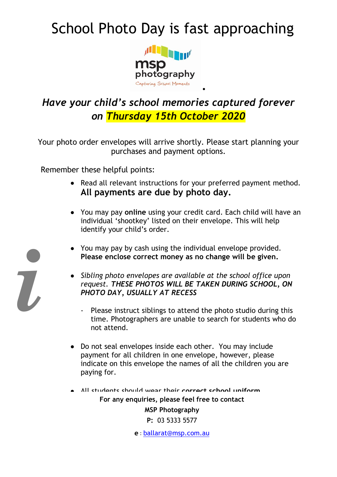# School Photo Day is fast approaching



# *Have your child's school memories captured forever on Thursday 15th October 2020*

Your photo order envelopes will arrive shortly. Please start planning your purchases and payment options.

Remember these helpful points:

*i*

• Read all relevant instructions for your preferred payment method. **All payments are due by photo day.**

.

- You may pay **online** using your credit card. Each child will have an individual 'shootkey' listed on their envelope. This will help identify your child's order.
- You may pay by cash using the individual envelope provided. **Please enclose correct money as no change will be given.**
- *Sibling photo envelopes are available at the school office upon request. THESE PHOTOS WILL BE TAKEN DURING SCHOOL, ON PHOTO DAY, USUALLY AT RECESS*
	- Please instruct siblings to attend the photo studio during this time. Photographers are unable to search for students who do not attend.
- Do not seal envelopes inside each other. You may include payment for all children in one envelope, however, please indicate on this envelope the names of all the children you are paying for.
- **For any enquiries, please feel free to contact MSP Photography** All students should wear their **correct school uniform**.

**P:** 03 5333 5577

**e** : [ballarat@msp.com.au](mailto:ballarat@msp.com.au)